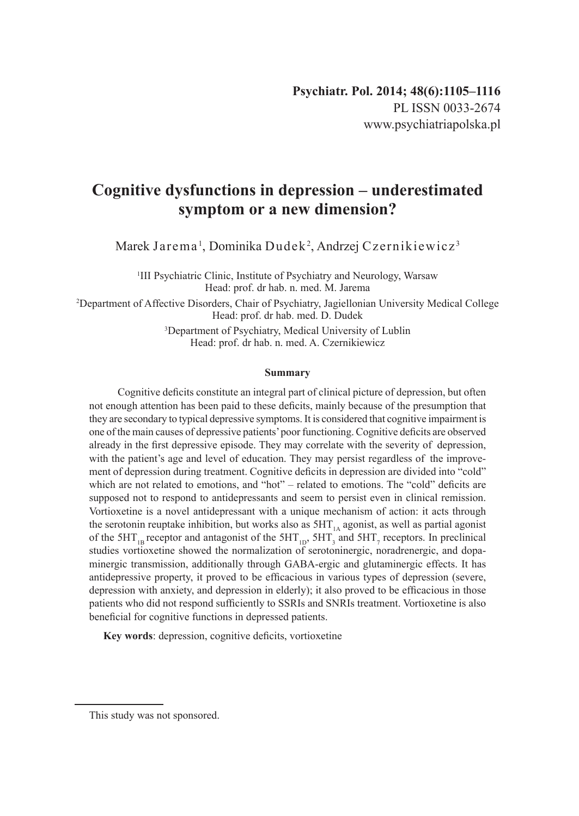# **Cognitive dysfunctions in depression – underestimated symptom or a new dimension?**

Marek Jarema', Dominika Dudek<sup>2</sup>, Andrzej Czernikiewicz<sup>3</sup>

<sup>1</sup>III Psychiatric Clinic, Institute of Psychiatry and Neurology, Warsaw Head: prof. dr hab. n. med. M. Jarema

2 Department of Affective Disorders, Chair of Psychiatry, Jagiellonian University Medical College Head: prof. dr hab. med. D. Dudek

> 3 Department of Psychiatry, Medical University of Lublin Head: prof. dr hab. n. med. A. Czernikiewicz

#### **Summary**

 Cognitive deficits constitute an integral part of clinical picture of depression, but often not enough attention has been paid to these deficits, mainly because of the presumption that they are secondary to typical depressive symptoms. It is considered that cognitive impairment is one of the main causes of depressive patients'poor functioning. Cognitive deficits are observed already in the first depressive episode. They may correlate with the severity of depression, with the patient's age and level of education. They may persist regardless of the improvement of depression during treatment. Cognitive deficits in depression are divided into "cold" which are not related to emotions, and "hot" – related to emotions. The "cold" deficits are supposed not to respond to antidepressants and seem to persist even in clinical remission. Vortioxetine is a novel antidepressant with a unique mechanism of action: it acts through the serotonin reuptake inhibition, but works also as  $5HT_{14}$  agonist, as well as partial agonist of the  $5HT_{1B}$  receptor and antagonist of the  $5HT_{1D}$ ,  $5HT_{3}$  and  $5HT_{7}$  receptors. In preclinical studies vortioxetine showed the normalization of serotoninergic, noradrenergic, and dopaminergic transmission, additionally through GABA-ergic and glutaminergic effects. It has antidepressive property, it proved to be efficacious in various types of depression (severe, depression with anxiety, and depression in elderly); it also proved to be efficacious in those patients who did not respond sufficiently to SSRIs and SNRIs treatment. Vortioxetine is also beneficial for cognitive functions in depressed patients.

**Key words**: depression, cognitive deficits, vortioxetine

This study was not sponsored.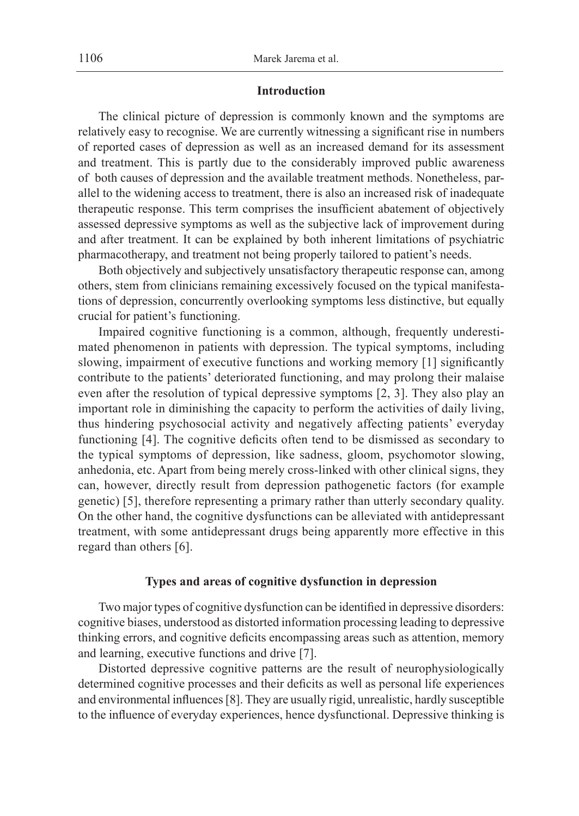## **Introduction**

The clinical picture of depression is commonly known and the symptoms are relatively easy to recognise. We are currently witnessing a significant rise in numbers of reported cases of depression as well as an increased demand for its assessment and treatment. This is partly due to the considerably improved public awareness of both causes of depression and the available treatment methods. Nonetheless, parallel to the widening access to treatment, there is also an increased risk of inadequate therapeutic response. This term comprises the insufficient abatement of objectively assessed depressive symptoms as well as the subjective lack of improvement during and after treatment. It can be explained by both inherent limitations of psychiatric pharmacotherapy, and treatment not being properly tailored to patient's needs.

Both objectively and subjectively unsatisfactory therapeutic response can, among others, stem from clinicians remaining excessively focused on the typical manifestations of depression, concurrently overlooking symptoms less distinctive, but equally crucial for patient's functioning.

Impaired cognitive functioning is a common, although, frequently underestimated phenomenon in patients with depression. The typical symptoms, including slowing, impairment of executive functions and working memory [1] significantly contribute to the patients' deteriorated functioning, and may prolong their malaise even after the resolution of typical depressive symptoms [2, 3]. They also play an important role in diminishing the capacity to perform the activities of daily living, thus hindering psychosocial activity and negatively affecting patients' everyday functioning [4]. The cognitive deficits often tend to be dismissed as secondary to the typical symptoms of depression, like sadness, gloom, psychomotor slowing, anhedonia, etc. Apart from being merely cross-linked with other clinical signs, they can, however, directly result from depression pathogenetic factors (for example genetic) [5], therefore representing a primary rather than utterly secondary quality. On the other hand, the cognitive dysfunctions can be alleviated with antidepressant treatment, with some antidepressant drugs being apparently more effective in this regard than others [6].

#### **Types and areas of cognitive dysfunction in depression**

Two major types of cognitive dysfunction can be identified in depressive disorders: cognitive biases, understood as distorted information processing leading to depressive thinking errors, and cognitive deficits encompassing areas such as attention, memory and learning, executive functions and drive [7].

Distorted depressive cognitive patterns are the result of neurophysiologically determined cognitive processes and their deficits as well as personal life experiences and environmental influences[8]. They are usually rigid, unrealistic, hardly susceptible to the influence of everyday experiences, hence dysfunctional. Depressive thinking is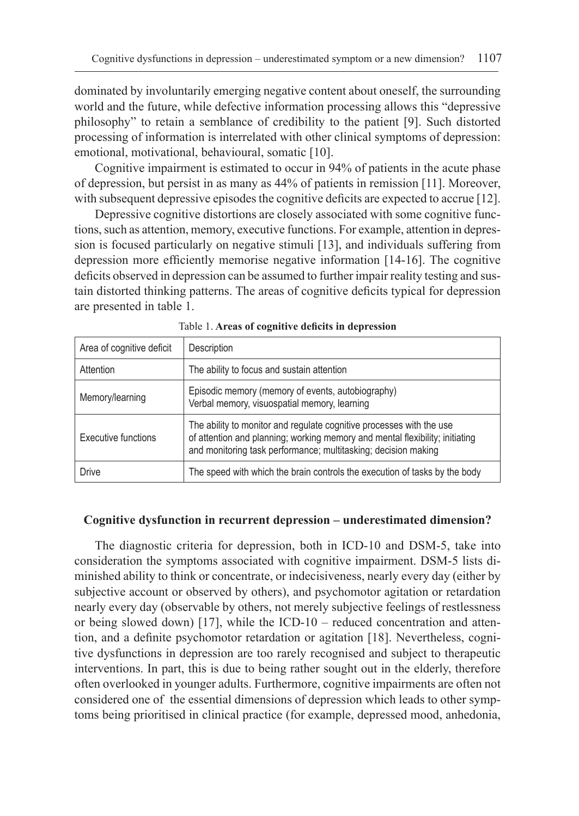dominated by involuntarily emerging negative content about oneself, the surrounding world and the future, while defective information processing allows this "depressive philosophy" to retain a semblance of credibility to the patient [9]. Such distorted processing of information is interrelated with other clinical symptoms of depression: emotional, motivational, behavioural, somatic [10].

Cognitive impairment is estimated to occur in 94% of patients in the acute phase of depression, but persist in as many as 44% of patients in remission [11]. Moreover, with subsequent depressive episodes the cognitive deficits are expected to accrue [12].

Depressive cognitive distortions are closely associated with some cognitive functions, such as attention, memory, executive functions. For example, attention in depression is focused particularly on negative stimuli [13], and individuals suffering from depression more efficiently memorise negative information [14-16]. The cognitive deficits observed in depression can be assumed to further impair reality testing and sustain distorted thinking patterns. The areas of cognitive deficits typical for depression are presented in table 1.

| Area of cognitive deficit | Description                                                                                                                                                                                                            |
|---------------------------|------------------------------------------------------------------------------------------------------------------------------------------------------------------------------------------------------------------------|
| Attention                 | The ability to focus and sustain attention                                                                                                                                                                             |
| Memory/learning           | Episodic memory (memory of events, autobiography)<br>Verbal memory, visuospatial memory, learning                                                                                                                      |
| Executive functions       | The ability to monitor and regulate cognitive processes with the use<br>of attention and planning; working memory and mental flexibility; initiating<br>and monitoring task performance; multitasking; decision making |
| <b>Drive</b>              | The speed with which the brain controls the execution of tasks by the body                                                                                                                                             |

Table 1. **Areas of cognitive deficits in depression**

## **Cognitive dysfunction in recurrent depression – underestimated dimension?**

The diagnostic criteria for depression, both in ICD-10 and DSM-5, take into consideration the symptoms associated with cognitive impairment. DSM-5 lists diminished ability to think or concentrate, or indecisiveness, nearly every day (either by subjective account or observed by others), and psychomotor agitation or retardation nearly every day (observable by others, not merely subjective feelings of restlessness or being slowed down) [17], while the ICD-10 – reduced concentration and attention, and a definite psychomotor retardation or agitation [18]. Nevertheless, cognitive dysfunctions in depression are too rarely recognised and subject to therapeutic interventions. In part, this is due to being rather sought out in the elderly, therefore often overlooked in younger adults. Furthermore, cognitive impairments are often not considered one of the essential dimensions of depression which leads to other symptoms being prioritised in clinical practice (for example, depressed mood, anhedonia,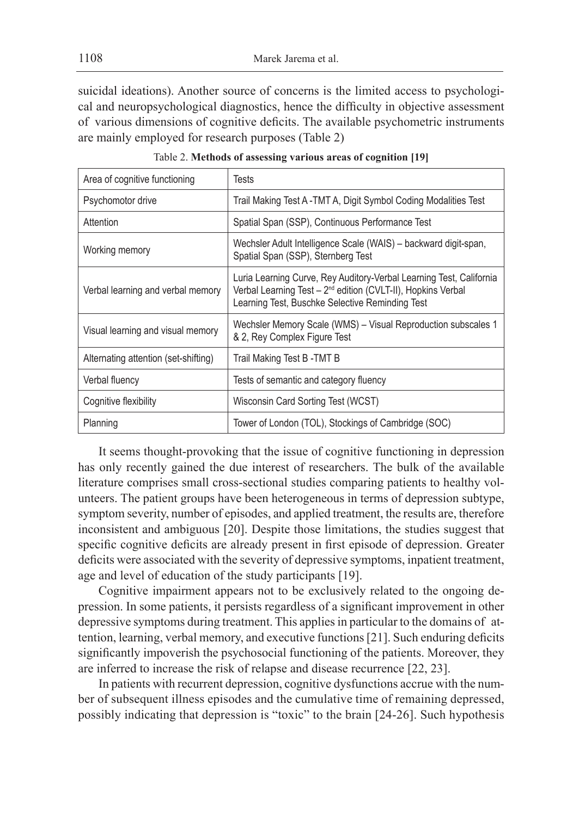suicidal ideations). Another source of concerns is the limited access to psychological and neuropsychological diagnostics, hence the difficulty in objective assessment of various dimensions of cognitive deficits. The available psychometric instruments are mainly employed for research purposes (Table 2)

| Area of cognitive functioning        | Tests                                                                                                                                                                                              |
|--------------------------------------|----------------------------------------------------------------------------------------------------------------------------------------------------------------------------------------------------|
| Psychomotor drive                    | Trail Making Test A -TMT A, Digit Symbol Coding Modalities Test                                                                                                                                    |
| Attention                            | Spatial Span (SSP), Continuous Performance Test                                                                                                                                                    |
| Working memory                       | Wechsler Adult Intelligence Scale (WAIS) – backward digit-span,<br>Spatial Span (SSP), Sternberg Test                                                                                              |
| Verbal learning and verbal memory    | Luria Learning Curve, Rey Auditory-Verbal Learning Test, California<br>Verbal Learning Test - 2 <sup>nd</sup> edition (CVLT-II), Hopkins Verbal<br>Learning Test, Buschke Selective Reminding Test |
| Visual learning and visual memory    | Wechsler Memory Scale (WMS) – Visual Reproduction subscales 1<br>& 2, Rey Complex Figure Test                                                                                                      |
| Alternating attention (set-shifting) | Trail Making Test B -TMT B                                                                                                                                                                         |
| Verbal fluency                       | Tests of semantic and category fluency                                                                                                                                                             |
| Cognitive flexibility                | Wisconsin Card Sorting Test (WCST)                                                                                                                                                                 |
| Planning                             | Tower of London (TOL), Stockings of Cambridge (SOC)                                                                                                                                                |

Table 2. **Methods of assessing various areas of cognition [19]**

It seems thought-provoking that the issue of cognitive functioning in depression has only recently gained the due interest of researchers. The bulk of the available literature comprises small cross-sectional studies comparing patients to healthy volunteers. The patient groups have been heterogeneous in terms of depression subtype, symptom severity, number of episodes, and applied treatment, the results are, therefore inconsistent and ambiguous [20]. Despite those limitations, the studies suggest that specific cognitive deficits are already present in first episode of depression. Greater deficits were associated with the severity of depressive symptoms, inpatient treatment, age and level of education of the study participants [19].

Cognitive impairment appears not to be exclusively related to the ongoing depression. In some patients, it persists regardless of a significant improvement in other depressive symptoms during treatment. This applies in particular to the domains of attention, learning, verbal memory, and executive functions[21]. Such enduring deficits significantly impoverish the psychosocial functioning of the patients. Moreover, they are inferred to increase the risk of relapse and disease recurrence [22, 23].

In patients with recurrent depression, cognitive dysfunctions accrue with the number of subsequent illness episodes and the cumulative time of remaining depressed, possibly indicating that depression is "toxic" to the brain [24-26]. Such hypothesis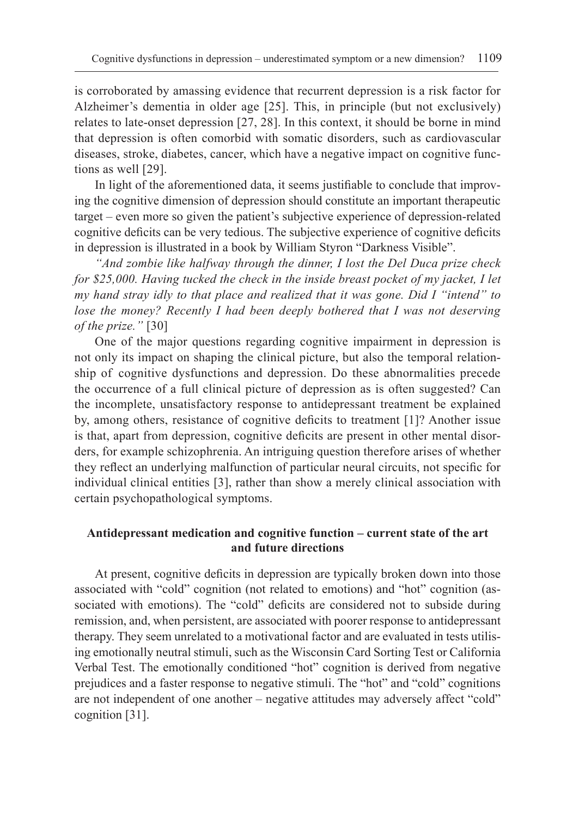is corroborated by amassing evidence that recurrent depression is a risk factor for Alzheimer's dementia in older age [25]. This, in principle (but not exclusively) relates to late-onset depression [27, 28]. In this context, it should be borne in mind that depression is often comorbid with somatic disorders, such as cardiovascular diseases, stroke, diabetes, cancer, which have a negative impact on cognitive functions as well [29].

In light of the aforementioned data, it seems justifiable to conclude that improving the cognitive dimension of depression should constitute an important therapeutic target – even more so given the patient's subjective experience of depression-related cognitive deficits can be very tedious. The subjective experience of cognitive deficits in depression is illustrated in a book by William Styron "Darkness Visible".

*"And zombie like halfway through the dinner, I lost the Del Duca prize check for \$25,000. Having tucked the check in the inside breast pocket of my jacket, I let my hand stray idly to that place and realized that it was gone. Did I "intend" to lose the money? Recently I had been deeply bothered that I was not deserving of the prize."* [30]

One of the major questions regarding cognitive impairment in depression is not only its impact on shaping the clinical picture, but also the temporal relationship of cognitive dysfunctions and depression. Do these abnormalities precede the occurrence of a full clinical picture of depression as is often suggested? Can the incomplete, unsatisfactory response to antidepressant treatment be explained by, among others, resistance of cognitive deficits to treatment [1]? Another issue is that, apart from depression, cognitive deficits are present in other mental disorders, for example schizophrenia. An intriguing question therefore arises of whether they reflect an underlying malfunction of particular neural circuits, not specific for individual clinical entities [3], rather than show a merely clinical association with certain psychopathological symptoms.

## **Antidepressant medication and cognitive function – current state of the art and future directions**

At present, cognitive deficits in depression are typically broken down into those associated with "cold" cognition (not related to emotions) and "hot" cognition (associated with emotions). The "cold" deficits are considered not to subside during remission, and, when persistent, are associated with poorer response to antidepressant therapy. They seem unrelated to a motivational factor and are evaluated in tests utilising emotionally neutral stimuli, such as the Wisconsin Card Sorting Test or California Verbal Test. The emotionally conditioned "hot" cognition is derived from negative prejudices and a faster response to negative stimuli. The "hot" and "cold" cognitions are not independent of one another – negative attitudes may adversely affect "cold" cognition [31].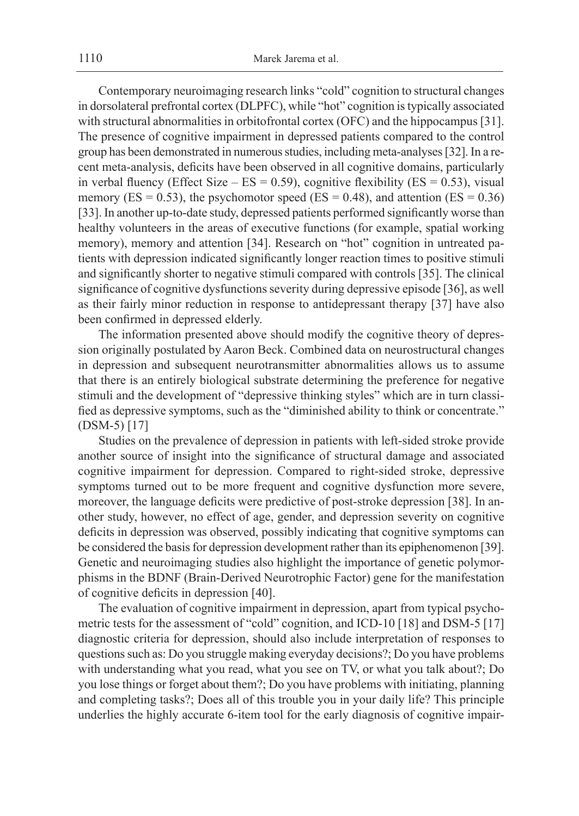Contemporary neuroimaging research links "cold" cognition to structural changes in dorsolateral prefrontal cortex (DLPFC), while "hot" cognition istypically associated with structural abnormalities in orbitofrontal cortex (OFC) and the hippocampus [31]. The presence of cognitive impairment in depressed patients compared to the control group has been demonstrated in numerous studies, including meta-analyses [32]. In a recent meta-analysis, deficits have been observed in all cognitive domains, particularly in verbal fluency (Effect Size –  $ES = 0.59$ ), cognitive flexibility ( $ES = 0.53$ ), visual memory ( $ES = 0.53$ ), the psychomotor speed ( $ES = 0.48$ ), and attention ( $ES = 0.36$ ) [33]. In another up-to-date study, depressed patients performed significantly worse than healthy volunteers in the areas of executive functions (for example, spatial working memory), memory and attention [34]. Research on "hot" cognition in untreated patients with depression indicated significantly longer reaction times to positive stimuli and significantly shorter to negative stimuli compared with controls [35]. The clinical significance of cognitive dysfunctions severity during depressive episode [36], as well as their fairly minor reduction in response to antidepressant therapy [37] have also been confirmed in depressed elderly.

The information presented above should modify the cognitive theory of depression originally postulated by Aaron Beck. Combined data on neurostructural changes in depression and subsequent neurotransmitter abnormalities allows us to assume that there is an entirely biological substrate determining the preference for negative stimuli and the development of "depressive thinking styles" which are in turn classified as depressive symptoms, such as the "diminished ability to think or concentrate." (DSM-5) [17]

Studies on the prevalence of depression in patients with left-sided stroke provide another source of insight into the significance of structural damage and associated cognitive impairment for depression. Compared to right-sided stroke, depressive symptoms turned out to be more frequent and cognitive dysfunction more severe, moreover, the language deficits were predictive of post-stroke depression [38]. In another study, however, no effect of age, gender, and depression severity on cognitive deficits in depression was observed, possibly indicating that cognitive symptoms can be considered the basis for depression development rather than its epiphenomenon [39]. Genetic and neuroimaging studies also highlight the importance of genetic polymorphisms in the BDNF (Brain-Derived Neurotrophic Factor) gene for the manifestation of cognitive deficits in depression [40].

The evaluation of cognitive impairment in depression, apart from typical psychometric tests for the assessment of "cold" cognition, and ICD-10 [18] and DSM-5 [17] diagnostic criteria for depression, should also include interpretation of responses to questions such as: Do you struggle making everyday decisions?; Do you have problems with understanding what you read, what you see on TV, or what you talk about?; Do you lose things or forget about them?; Do you have problems with initiating, planning and completing tasks?; Does all of this trouble you in your daily life? This principle underlies the highly accurate 6-item tool for the early diagnosis of cognitive impair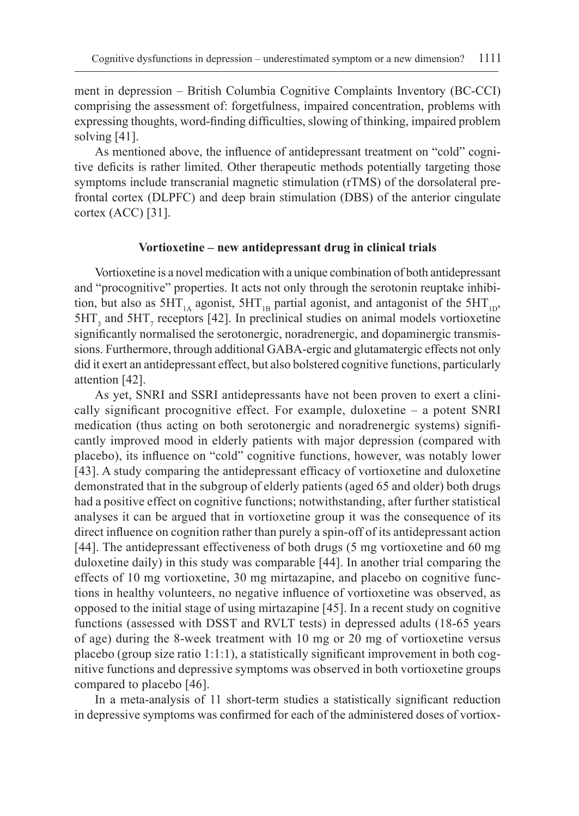ment in depression – British Columbia Cognitive Complaints Inventory (BC-CCI) comprising the assessment of: forgetfulness, impaired concentration, problems with expressing thoughts, word-finding difficulties, slowing of thinking, impaired problem solving [41].

As mentioned above, the influence of antidepressant treatment on "cold" cognitive deficits is rather limited. Other therapeutic methods potentially targeting those symptoms include transcranial magnetic stimulation (rTMS) of the dorsolateral prefrontal cortex (DLPFC) and deep brain stimulation (DBS) of the anterior cingulate cortex (ACC) [31].

## **Vortioxetine – new antidepressant drug in clinical trials**

Vortioxetine is a novel medication with a unique combination of both antidepressant and "procognitive" properties. It acts not only through the serotonin reuptake inhibition, but also as  $5HT_{1A}$  agonist,  $5HT_{1B}$  partial agonist, and antagonist of the  $5HT_{1D}$ ,  $5HT_3$  and  $5HT_7$  receptors [42]. In preclinical studies on animal models vortioxetine significantly normalised the serotonergic, noradrenergic, and dopaminergic transmissions. Furthermore, through additional GABA-ergic and glutamatergic effects not only did it exert an antidepressant effect, but also bolstered cognitive functions, particularly attention [42].

As yet, SNRI and SSRI antidepressants have not been proven to exert a clinically significant procognitive effect. For example, duloxetine – a potent SNRI medication (thus acting on both serotonergic and noradrenergic systems) significantly improved mood in elderly patients with major depression (compared with placebo), its influence on "cold" cognitive functions, however, was notably lower [43]. A study comparing the antidepressant efficacy of vortioxetine and duloxetine demonstrated that in the subgroup of elderly patients (aged 65 and older) both drugs had a positive effect on cognitive functions; notwithstanding, after further statistical analyses it can be argued that in vortioxetine group it was the consequence of its direct influence on cognition rather than purely a spin-off of its antidepressant action [44]. The antidepressant effectiveness of both drugs (5 mg vortioxetine and 60 mg duloxetine daily) in this study was comparable [44]. In another trial comparing the effects of 10 mg vortioxetine, 30 mg mirtazapine, and placebo on cognitive functions in healthy volunteers, no negative influence of vortioxetine was observed, as opposed to the initial stage of using mirtazapine [45]. In a recent study on cognitive functions (assessed with DSST and RVLT tests) in depressed adults (18-65 years of age) during the 8-week treatment with 10 mg or 20 mg of vortioxetine versus placebo (group size ratio 1:1:1), a statistically significant improvement in both cognitive functions and depressive symptoms was observed in both vortioxetine groups compared to placebo [46].

In a meta-analysis of 11 short-term studies a statistically significant reduction in depressive symptoms was confirmed for each of the administered doses of vortiox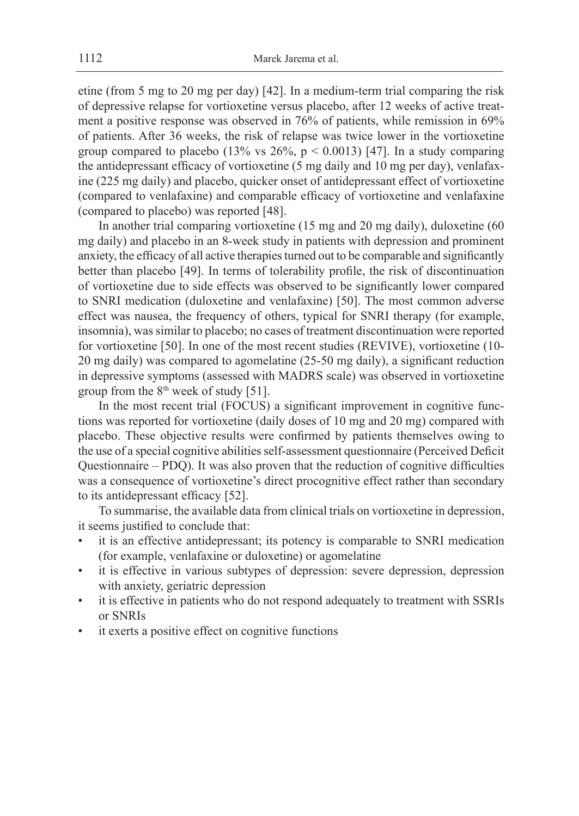etine (from 5 mg to 20 mg per day) [42]. In a medium-term trial comparing the risk of depressive relapse for vortioxetine versus placebo, after 12 weeks of active treatment a positive response was observed in 76% of patients, while remission in 69% of patients. After 36 weeks, the risk of relapse was twice lower in the vortioxetine group compared to placebo (13% vs  $26\%$ ,  $p < 0.0013$ ) [47]. In a study comparing the antidepressant efficacy of vortioxetine (5 mg daily and 10 mg per day), venlafaxine (225 mg daily) and placebo, quicker onset of antidepressant effect of vortioxetine (compared to venlafaxine) and comparable efficacy of vortioxetine and venlafaxine (compared to placebo) was reported [48].

In another trial comparing vortioxetine (15 mg and 20 mg daily), duloxetine (60 mg daily) and placebo in an 8-week study in patients with depression and prominent anxiety, the efficacy of all active therapiesturned out to be comparable and significantly better than placebo [49]. In terms of tolerability profile, the risk of discontinuation of vortioxetine due to side effects was observed to be significantly lower compared to SNRI medication (duloxetine and venlafaxine) [50]. The most common adverse effect was nausea, the frequency of others, typical for SNRI therapy (for example, insomnia), was similar to placebo; no cases of treatment discontinuation were reported for vortioxetine [50]. In one of the most recent studies (REVIVE), vortioxetine (10- 20 mg daily) was compared to agomelatine (25-50 mg daily), a significant reduction in depressive symptoms (assessed with MADRS scale) was observed in vortioxetine group from the  $8<sup>th</sup>$  week of study [51].

In the most recent trial (FOCUS) a significant improvement in cognitive functions was reported for vortioxetine (daily doses of 10 mg and 20 mg) compared with placebo. These objective results were confirmed by patients themselves owing to the use of a special cognitive abilities self-assessment questionnaire (Perceived Deficit Questionnaire – PDQ). It was also proven that the reduction of cognitive difficulties was a consequence of vortioxetine's direct procognitive effect rather than secondary to its antidepressant efficacy [52].

To summarise, the available data from clinical trials on vortioxetine in depression, it seems justified to conclude that:

- it is an effective antidepressant; its potency is comparable to SNRI medication (for example, venlafaxine or duloxetine) or agomelatine
- it is effective in various subtypes of depression: severe depression, depression with anxiety, geriatric depression
- it is effective in patients who do not respond adequately to treatment with SSRIs or SNRIs
- it exerts a positive effect on cognitive functions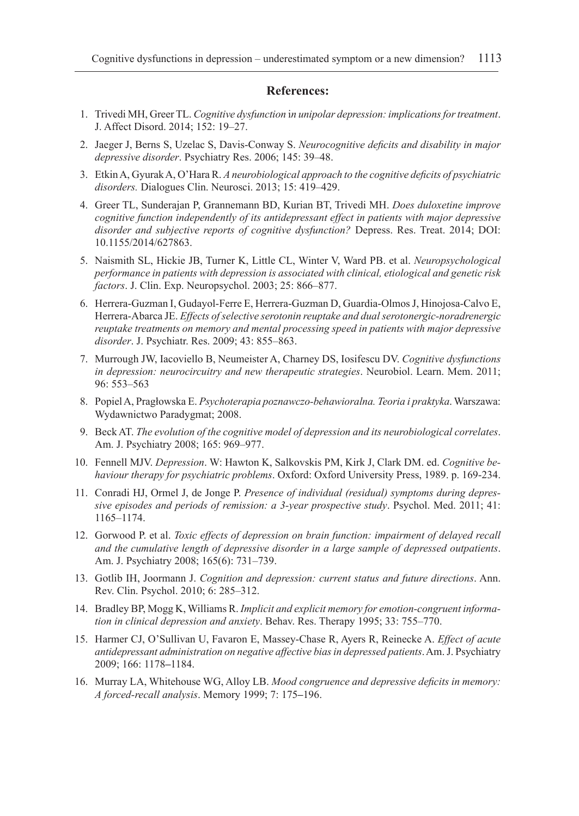## **References:**

- 1. Trivedi MH, Greer TL. *Cognitive dysfunction* i*n unipolar depression: implications for treatment*. J. Affect Disord. 2014; 152: 19–27.
- 2. Jaeger J, Berns S, Uzelac S, Davis-Conway S. *Neurocognitive deficits and disability in major depressive disorder*. Psychiatry Res. 2006; 145: 39–48.
- 3. EtkinA, GyurakA, O'Hara R. *A neurobiological approach to the cognitive deficits of psychiatric disorders.* Dialogues Clin. Neurosci. 2013; 15: 419–429.
- 4. Greer TL, Sunderajan P, Grannemann BD, Kurian BT, Trivedi MH. *Does duloxetine improve cognitive function independently of its antidepressant effect in patients with major depressive disorder and subjective reports of cognitive dysfunction?* Depress. Res. Treat. 2014; DOI: 10.1155/2014/627863.
- 5. Naismith SL, Hickie JB, Turner K, Little CL, Winter V, Ward PB. et al. *Neuropsychological performance in patients with depression is associated with clinical, etiological and genetic risk factors*. J. Clin. Exp. Neuropsychol. 2003; 25: 866–877.
- 6. Herrera-Guzman I, Gudayol-Ferre E, Herrera-Guzman D, Guardia-OlmosJ, Hinojosa-Calvo E, Herrera-Abarca JE. *Effects of selective serotonin reuptake and dual serotonergic-noradrenergic reuptake treatments on memory and mental processing speed in patients with major depressive disorder*. J. Psychiatr. Res. 2009; 43: 855–863.
- 7. Murrough JW, Iacoviello B, Neumeister A, Charney DS, Iosifescu DV. *Cognitive dysfunctions in depression: neurocircuitry and new therapeutic strategies*. Neurobiol. Learn. Mem. 2011; 96: 553–563
- 8. PopielA, Pragłowska E. *Psychoterapia poznawczo-behawioralna. Teoria i praktyka*. Warszawa: Wydawnictwo Paradygmat; 2008.
- 9. Beck AT. *The evolution of the cognitive model of depression and its neurobiological correlates*. Am. J. Psychiatry 2008; 165: 969–977.
- 10. Fennell MJV. *Depression*. W: Hawton K, Salkovskis PM, Kirk J, Clark DM. ed. *Cognitive behaviour therapy for psychiatric problems*. Oxford: Oxford University Press, 1989. p. 169-234.
- 11. Conradi HJ, Ormel J, de Jonge P. *Presence of individual (residual) symptoms during depressive episodes and periods of remission: a 3-year prospective study*. Psychol. Med. 2011; 41: 1165–1174.
- 12. Gorwood P. et al. *Toxic effects of depression on brain function: impairment of delayed recall and the cumulative length of depressive disorder in a large sample of depressed outpatients*. Am. J. Psychiatry 2008; 165(6): 731–739.
- 13. Gotlib IH, Joormann J. *Cognition and depression: current status and future directions*. Ann. Rev. Clin. Psychol. 2010; 6: 285–312.
- 14. Bradley BP, Mogg K, Williams R. *Implicit and explicit memory for emotion-congruent information in clinical depression and anxiety*. Behav. Res. Therapy 1995; 33: 755–770.
- 15. Harmer CJ, O'Sullivan U, Favaron E, Massey-Chase R, Ayers R, Reinecke A. *Effect of acute antidepressant administration on negative affective bias in depressed patients*. Am. J. Psychiatry 2009; 166: 1178**–**1184.
- 16. Murray LA, Whitehouse WG, Alloy LB. *Mood congruence and depressive deficits in memory: A forced-recall analysis*. Memory 1999; 7: 175**–**196.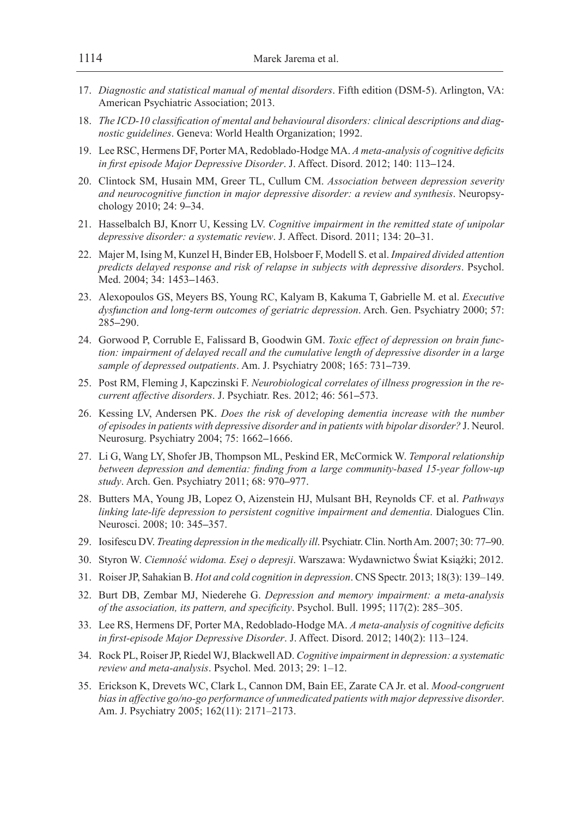- 17. *Diagnostic and statistical manual of mental disorders*. Fifth edition (DSM-5). Arlington, VA: American Psychiatric Association; 2013.
- 18. *The ICD-10 classification of mental and behavioural disorders: clinical descriptions and diagnostic guidelines*. Geneva: World Health Organization; 1992.
- 19. Lee RSC, Hermens DF, Porter MA, Redoblado-Hodge MA. *A meta-analysis of cognitive deficits in first episode Major Depressive Disorder*. J. Affect. Disord. 2012; 140: 113**–**124.
- 20. Clintock SM, Husain MM, Greer TL, Cullum CM. *Association between depression severity and neurocognitive function in major depressive disorder: a review and synthesis*. Neuropsychology 2010; 24: 9**–**34.
- 21. Hasselbalch BJ, Knorr U, Kessing LV. *Cognitive impairment in the remitted state of unipolar depressive disorder: a systematic review*. J. Affect. Disord. 2011; 134: 20**–**31.
- 22. Majer M, Ising M, Kunzel H, Binder EB, Holsboer F, Modell S. et al. *Impaired divided attention predicts delayed response and risk of relapse in subjects with depressive disorders*. Psychol. Med. 2004; 34: 1453**–**1463.
- 23. Alexopoulos GS, Meyers BS, Young RC, Kalyam B, Kakuma T, Gabrielle M. et al. *Executive dysfunction and long-term outcomes of geriatric depression*. Arch. Gen. Psychiatry 2000; 57: 285**–**290.
- 24. Gorwood P, Corruble E, Falissard B, Goodwin GM. *Toxic effect of depression on brain function: impairment of delayed recall and the cumulative length of depressive disorder in a large sample of depressed outpatients*. Am. J. Psychiatry 2008; 165: 731**–**739.
- 25. Post RM, Fleming J, Kapczinski F. *Neurobiological correlates of illness progression in the recurrent affective disorders*. J. Psychiatr. Res. 2012; 46: 561**–**573.
- 26. Kessing LV, Andersen PK. *Does the risk of developing dementia increase with the number of episodes in patients with depressive disorder and in patients with bipolar disorder?* J. Neurol. Neurosurg. Psychiatry 2004; 75: 1662**–**1666.
- 27. Li G, Wang LY, Shofer JB, Thompson ML, Peskind ER, McCormick W. *Temporal relationship between depression and dementia: finding from a large community-based 15-year follow-up study*. Arch. Gen. Psychiatry 2011; 68: 970**–**977.
- 28. Butters MA, Young JB, Lopez O, Aizenstein HJ, Mulsant BH, Reynolds CF. et al. *Pathways linking late-life depression to persistent cognitive impairment and dementia*. Dialogues Clin. Neurosci. 2008; 10: 345**–**357.
- 29. Iosifescu DV. *Treating depression in the medically ill*. Psychiatr. Clin. North Am. 2007; 30: 77**–**90.
- 30. Styron W. *Ciemność widoma. Esej o depresji*. Warszawa: Wydawnictwo Świat Książki; 2012.
- 31. RoiserJP, Sahakian B. *Hot and cold cognition in depression*. CNS Spectr. 2013; 18(3): 139–149.
- 32. Burt DB, Zembar MJ, Niederehe G. *Depression and memory impairment: a meta-analysis of the association, its pattern, and specificity*. Psychol. Bull. 1995; 117(2): 285–305.
- 33. Lee RS, Hermens DF, Porter MA, Redoblado-Hodge MA. *A meta-analysis of cognitive deficits in first-episode Major Depressive Disorder*. J. Affect. Disord. 2012; 140(2): 113–124.
- 34. Rock PL, RoiserJP, RiedelWJ, BlackwellAD. *Cognitive impairment in depression: a systematic review and meta-analysis*. Psychol. Med. 2013; 29: 1–12.
- 35. Erickson K, Drevets WC, Clark L, Cannon DM, Bain EE, Zarate CA Jr. et al. *Mood-congruent bias in affective go/no-go performance of unmedicated patients with major depressive disorder*. Am. J. Psychiatry 2005; 162(11): 2171–2173.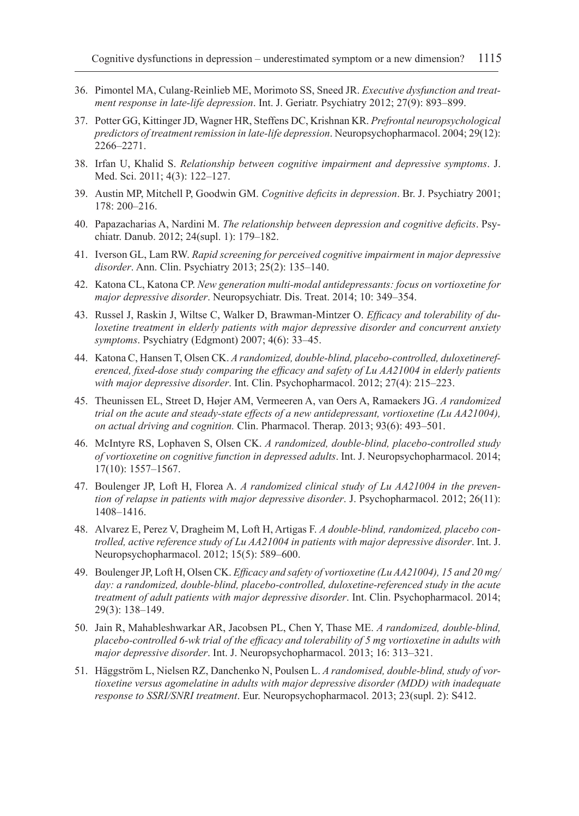- 36. Pimontel MA, Culang-Reinlieb ME, Morimoto SS, Sneed JR. *Executive dysfunction and treatment response in late-life depression*. Int. J. Geriatr. Psychiatry 2012; 27(9): 893–899.
- 37. Potter GG, KittingerJD, Wagner HR, Steffens DC, Krishnan KR. *Prefrontal neuropsychological predictors of treatment remission in late-life depression*. Neuropsychopharmacol. 2004; 29(12): 2266–2271.
- 38. Irfan U, Khalid S. *Relationship between cognitive impairment and depressive symptoms*. J. Med. Sci. 2011; 4(3): 122–127.
- 39. Austin MP, Mitchell P, Goodwin GM. *Cognitive deficits in depression*. Br. J. Psychiatry 2001; 178: 200–216.
- 40. Papazacharias A, Nardini M. *The relationship between depression and cognitive deficits*. Psychiatr. Danub. 2012; 24(supl. 1): 179–182.
- 41. Iverson GL, Lam RW. *Rapid screening for perceived cognitive impairment in major depressive disorder*. Ann. Clin. Psychiatry 2013; 25(2): 135–140.
- 42. Katona CL, Katona CP. *New generation multi-modal antidepressants: focus on vortioxetine for major depressive disorder*. Neuropsychiatr. Dis. Treat. 2014; 10: 349–354.
- 43. Russel J, Raskin J, Wiltse C, Walker D, Brawman-Mintzer O. *Efficacy and tolerability of duloxetine treatment in elderly patients with major depressive disorder and concurrent anxiety symptoms*. Psychiatry (Edgmont) 2007; 4(6): 33–45.
- 44. Katona C, Hansen T, Olsen CK. *A randomized, double-blind, placebo-controlled, duloxetinereferenced, fixed-dose study comparing the efficacy and safety of Lu AA21004 in elderly patients with major depressive disorder*. Int. Clin. Psychopharmacol. 2012; 27(4): 215–223.
- 45. Theunissen EL, Street D, Højer AM, Vermeeren A, van Oers A, Ramaekers JG. *A randomized trial on the acute and steady-state effects of a new antidepressant, vortioxetine (Lu AA21004), on actual driving and cognition.* Clin. Pharmacol. Therap. 2013; 93(6): 493–501.
- 46. McIntyre RS, Lophaven S, Olsen CK. *A randomized, double-blind, placebo-controlled study of vortioxetine on cognitive function in depressed adults*. Int. J. Neuropsychopharmacol. 2014; 17(10): 1557–1567.
- 47. Boulenger JP, Loft H, Florea A. *A randomized clinical study of Lu AA21004 in the prevention of relapse in patients with major depressive disorder*. J. Psychopharmacol. 2012; 26(11): 1408–1416.
- 48. Alvarez E, Perez V, Dragheim M, Loft H, Artigas F. *A double-blind, randomized, placebo controlled, active reference study of Lu AA21004 in patients with major depressive disorder*. Int. J. Neuropsychopharmacol. 2012; 15(5): 589–600.
- 49. Boulenger JP, Loft H, Olsen CK. *Efficacy and safety of vortioxetine (Lu AA21004), 15 and 20 mg/* day: a randomized, double-blind, placebo-controlled, duloxetine-referenced study in the acute *treatment of adult patients with major depressive disorder*. Int. Clin. Psychopharmacol. 2014; 29(3): 138–149.
- 50. Jain R, Mahableshwarkar AR, Jacobsen PL, Chen Y, Thase ME. *A randomized, double-blind, placebo-controlled 6-wk trial of the efficacy and tolerability of 5 mg vortioxetine in adults with major depressive disorder*. Int. J. Neuropsychopharmacol. 2013; 16: 313–321.
- 51. Häggström L, Nielsen RZ, Danchenko N, Poulsen L. *A randomised, double-blind, study of vortioxetine versus agomelatine in adults with major depressive disorder (MDD) with inadequate response to SSRI/SNRI treatment*. Eur. Neuropsychopharmacol. 2013; 23(supl. 2): S412.